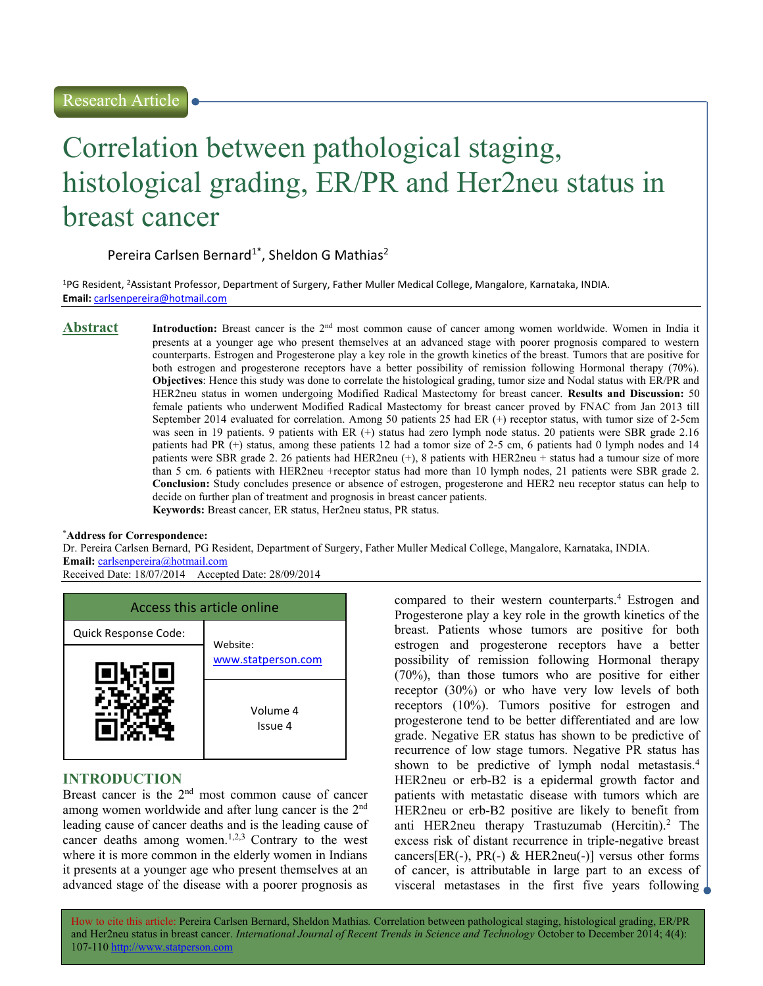# Correlation between pathological staging, histological grading, ER/PR and Her2neu status in breast cancer

# Pereira Carlsen Bernard<sup>1\*</sup>, Sheldon G Mathias<sup>2</sup>

<sup>1</sup>PG Resident, <sup>2</sup>Assistant Professor, Department of Surgery, Father Muller Medical College, Mangalore, Karnataka, INDIA. Email: carlsenpereira@hotmail.com

Abstract Introduction: Breast cancer is the 2nd most common cause of cancer among women worldwide. Women in India it presents at a younger age who present themselves at an advanced stage with poorer prognosis compared to western counterparts. Estrogen and Progesterone play a key role in the growth kinetics of the breast. Tumors that are positive for both estrogen and progesterone receptors have a better possibility of remission following Hormonal therapy (70%). Objectives: Hence this study was done to correlate the histological grading, tumor size and Nodal status with ER/PR and HER2neu status in women undergoing Modified Radical Mastectomy for breast cancer. Results and Discussion: 50 female patients who underwent Modified Radical Mastectomy for breast cancer proved by FNAC from Jan 2013 till September 2014 evaluated for correlation. Among 50 patients 25 had ER (+) receptor status, with tumor size of 2-5cm was seen in 19 patients. 9 patients with ER (+) status had zero lymph node status. 20 patients were SBR grade 2.16 patients had PR (+) status, among these patients 12 had a tomor size of 2-5 cm, 6 patients had 0 lymph nodes and 14 patients were SBR grade 2. 26 patients had HER2neu (+), 8 patients with HER2neu + status had a tumour size of more than 5 cm. 6 patients with HER2neu +receptor status had more than 10 lymph nodes, 21 patients were SBR grade 2. Conclusion: Study concludes presence or absence of estrogen, progesterone and HER2 neu receptor status can help to decide on further plan of treatment and prognosis in breast cancer patients. Keywords: Breast cancer, ER status, Her2neu status, PR status.

#### \*Address for Correspondence:

Dr. Pereira Carlsen Bernard, PG Resident, Department of Surgery, Father Muller Medical College, Mangalore, Karnataka, INDIA. Email: carlsenpereira@hotmail.com

Received Date: 18/07/2014 Accepted Date: 28/09/2014



# INTRODUCTION

Breast cancer is the 2<sup>nd</sup> most common cause of cancer among women worldwide and after lung cancer is the 2nd leading cause of cancer deaths and is the leading cause of cancer deaths among women.<sup>1,2,3</sup> Contrary to the west where it is more common in the elderly women in Indians it presents at a younger age who present themselves at an advanced stage of the disease with a poorer prognosis as

compared to their western counterparts.<sup>4</sup> Estrogen and Progesterone play a key role in the growth kinetics of the breast. Patients whose tumors are positive for both estrogen and progesterone receptors have a better possibility of remission following Hormonal therapy (70%), than those tumors who are positive for either receptor (30%) or who have very low levels of both receptors (10%). Tumors positive for estrogen and progesterone tend to be better differentiated and are low grade. Negative ER status has shown to be predictive of recurrence of low stage tumors. Negative PR status has shown to be predictive of lymph nodal metastasis.<sup>4</sup> HER2neu or erb-B2 is a epidermal growth factor and patients with metastatic disease with tumors which are HER2neu or erb-B2 positive are likely to benefit from anti HER2neu therapy Trastuzumab (Hercitin).<sup>2</sup> The excess risk of distant recurrence in triple-negative breast cancers[ER(-), PR(-) & HER2neu(-)] versus other forms of cancer, is attributable in large part to an excess of visceral metastases in the first five years following

How to cite this article: Pereira Carlsen Bernard, Sheldon Mathias. Correlation between pathological staging, histological grading, ER/PR and Her2neu status in breast cancer. International Journal of Recent Trends in Science and Technology October to December 2014; 4(4): 107-110 http://www.statperson.com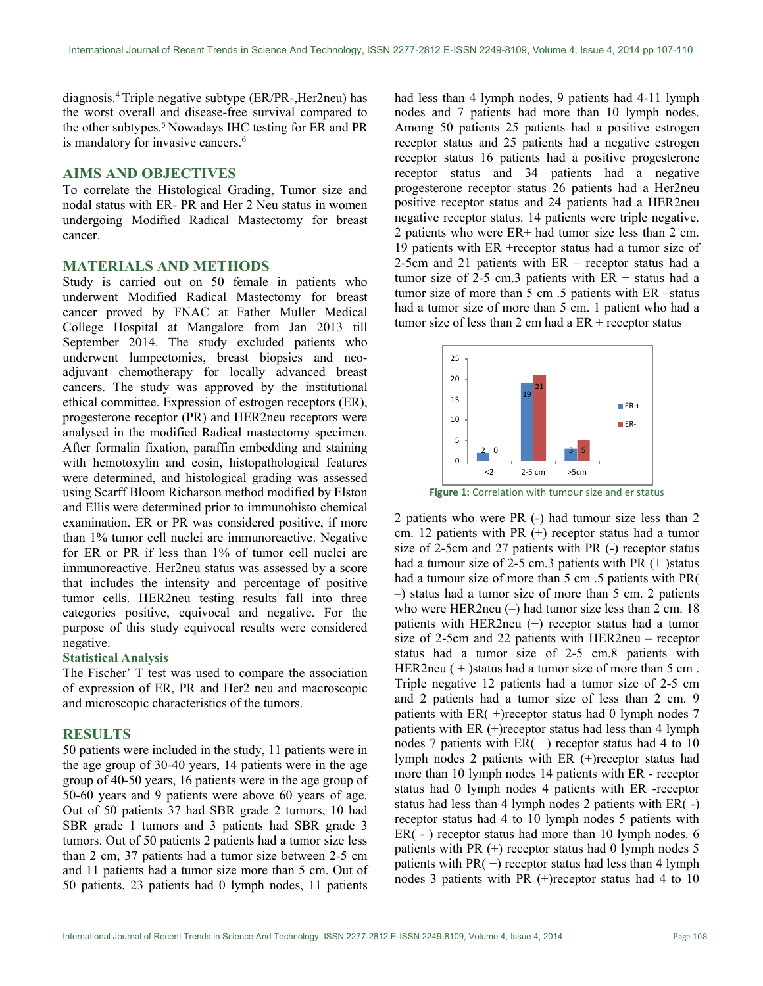diagnosis.<sup>4</sup>Triple negative subtype (ER/PR-,Her2neu) has the worst overall and disease-free survival compared to the other subtypes.<sup>5</sup> Nowadays IHC testing for ER and PR is mandatory for invasive cancers.<sup>6</sup>

#### AIMS AND OBJECTIVES

To correlate the Histological Grading, Tumor size and nodal status with ER- PR and Her 2 Neu status in women undergoing Modified Radical Mastectomy for breast cancer.

# MATERIALS AND METHODS

Study is carried out on 50 female in patients who underwent Modified Radical Mastectomy for breast cancer proved by FNAC at Father Muller Medical College Hospital at Mangalore from Jan 2013 till September 2014. The study excluded patients who underwent lumpectomies, breast biopsies and neoadjuvant chemotherapy for locally advanced breast cancers. The study was approved by the institutional ethical committee. Expression of estrogen receptors (ER), progesterone receptor (PR) and HER2neu receptors were analysed in the modified Radical mastectomy specimen. After formalin fixation, paraffin embedding and staining with hemotoxylin and eosin, histopathological features were determined, and histological grading was assessed using Scarff Bloom Richarson method modified by Elston and Ellis were determined prior to immunohisto chemical examination. ER or PR was considered positive, if more than 1% tumor cell nuclei are immunoreactive. Negative for ER or PR if less than 1% of tumor cell nuclei are immunoreactive. Her2neu status was assessed by a score that includes the intensity and percentage of positive tumor cells. HER2neu testing results fall into three categories positive, equivocal and negative. For the purpose of this study equivocal results were considered negative.

#### Statistical Analysis

The Fischer' T test was used to compare the association of expression of ER, PR and Her2 neu and macroscopic and microscopic characteristics of the tumors.

## RESULTS

50 patients were included in the study, 11 patients were in the age group of 30-40 years, 14 patients were in the age group of 40-50 years, 16 patients were in the age group of 50-60 years and 9 patients were above 60 years of age. Out of 50 patients 37 had SBR grade 2 tumors, 10 had SBR grade 1 tumors and 3 patients had SBR grade 3 tumors. Out of 50 patients 2 patients had a tumor size less than 2 cm, 37 patients had a tumor size between 2-5 cm and 11 patients had a tumor size more than 5 cm. Out of 50 patients, 23 patients had 0 lymph nodes, 11 patients

had less than 4 lymph nodes, 9 patients had 4-11 lymph nodes and 7 patients had more than 10 lymph nodes. Among 50 patients 25 patients had a positive estrogen receptor status and 25 patients had a negative estrogen receptor status 16 patients had a positive progesterone receptor status and 34 patients had a negative progesterone receptor status 26 patients had a Her2neu positive receptor status and 24 patients had a HER2neu negative receptor status. 14 patients were triple negative. 2 patients who were ER+ had tumor size less than 2 cm. 19 patients with ER +receptor status had a tumor size of 2-5cm and 21 patients with ER – receptor status had a tumor size of  $2-5$  cm.3 patients with ER + status had a tumor size of more than 5 cm .5 patients with ER –status had a tumor size of more than 5 cm. 1 patient who had a tumor size of less than 2 cm had a  $ER +$  receptor status o pauents had a positive progesterone<br>
and 34 patients had a negative<br>
eptor status 26 patients had a Her2neu<br>
status and 24 patients had a HER2neu<br>
status. 14 patients were triple negative.<br>
ere ER+ had tumor size less t



Figure 1: Correlation with tumour size and er status

2 patients who were PR (-) had tumour size less than 2 cm. 12 patients with PR (+) receptor status had a tumor size of 2-5cm and 27 patients with PR (-) receptor status had a tumour size of 2-5 cm.3 patients with PR  $(+)$  status had a tumour size of more than 5 cm .5 patients with PR( –) status had a tumor size of more than 5 cm. 2 patients who were HER2neu (–) had tumor size less than 2 cm. 18 patients with HER2neu (+) receptor status had a tumor size of 2-5cm and 22 patients with HER2neu – receptor status had a tumor size of 2-5 cm.8 patients with HER2neu ( + )status had a tumor size of more than 5 cm. Triple negative 12 patients had a tumor size of 2-5 cm and 2 patients had a tumor size of less than 2 cm. 9 patients with  $ER(+)$ receptor status had 0 lymph nodes 7 patients with ER (+)receptor status had less than 4 lymph nodes 7 patients with  $ER(+)$  receptor status had 4 to 10 lymph nodes 2 patients with ER (+)receptor status had more than 10 lymph nodes 14 patients with ER - receptor status had 0 lymph nodes 4 patients with ER -receptor status had less than 4 lymph nodes 2 patients with ER( -) receptor status had 4 to 10 lymph nodes 5 patients with ER( - ) receptor status had more than 10 lymph nodes. 6 patients with PR (+) receptor status had 0 lymph nodes 5 patients with  $PR(+)$  receptor status had less than 4 lymph nodes 3 patients with PR (+)receptor status had 4 to 10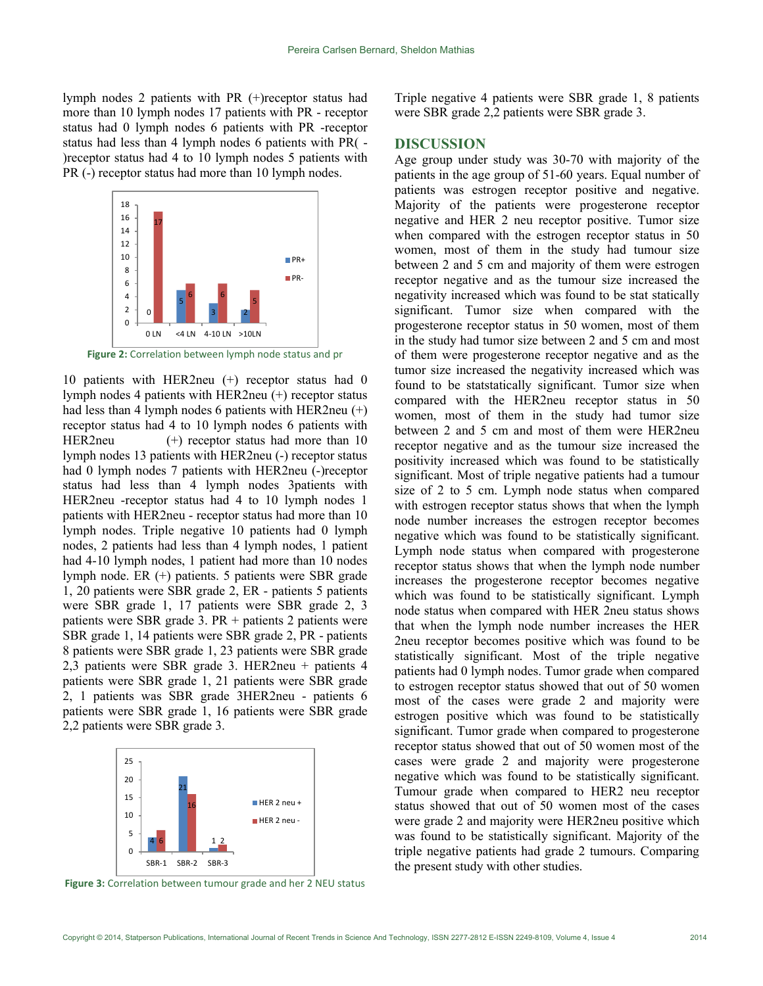lymph nodes 2 patients with PR (+)receptor status had more than 10 lymph nodes 17 patients with PR - receptor status had 0 lymph nodes 6 patients with PR -receptor status had less than 4 lymph nodes 6 patients with PR( - )receptor status had 4 to 10 lymph nodes 5 patients with PR (-) receptor status had more than 10 lymph nodes.



Figure 2: Correlation between lymph node status and pr

10 patients with HER2neu (+) receptor status had 0 lymph nodes 4 patients with HER2neu (+) receptor status had less than 4 lymph nodes 6 patients with HER2neu  $(+)$ receptor status had 4 to 10 lymph nodes 6 patients with HER2neu (+) receptor status had more than 10 lymph nodes 13 patients with HER2neu (-) receptor status had 0 lymph nodes 7 patients with HER2neu (-)receptor status had less than 4 lymph nodes 3patients with HER2neu -receptor status had 4 to 10 lymph nodes 1 patients with HER2neu - receptor status had more than 10 lymph nodes. Triple negative 10 patients had 0 lymph nodes, 2 patients had less than 4 lymph nodes, 1 patient had 4-10 lymph nodes, 1 patient had more than 10 nodes lymph node. ER (+) patients. 5 patients were SBR grade 1, 20 patients were SBR grade 2, ER - patients 5 patients were SBR grade 1, 17 patients were SBR grade 2, 3 patients were SBR grade 3.  $PR +$  patients 2 patients were SBR grade 1, 14 patients were SBR grade 2, PR - patients 8 patients were SBR grade 1, 23 patients were SBR grade 2,3 patients were SBR grade 3. HER2neu + patients 4 patients were SBR grade 1, 21 patients were SBR grade 2, 1 patients was SBR grade 3HER2neu - patients 6 patients were SBR grade 1, 16 patients were SBR grade 2,2 patients were SBR grade 3.



Figure 3: Correlation between tumour grade and her 2 NEU status

Triple negative 4 patients were SBR grade 1, 8 patients were SBR grade 2,2 patients were SBR grade 3.

### DISCUSSION

Age group under study was 30-70 with majority of the patients in the age group of 51-60 years. Equal number of patients was estrogen receptor positive and negative. Majority of the patients were progesterone receptor negative and HER 2 neu receptor positive. Tumor size when compared with the estrogen receptor status in 50 women, most of them in the study had tumour size  $P_{R+}$  between 2 and 5 cm and majority of them were estrogen receptor negative and as the tumour size increased the s a state of the end of the state of the state state and to be stat statically significant. Tumor size when compared with the progesterone receptor status in 50 women, most of them in the study had tumor size between 2 and 5 cm and most of them were progesterone receptor negative and as the tumor size increased the negativity increased which was found to be statstatically significant. Tumor size when compared with the HER2neu receptor status in 50 women, most of them in the study had tumor size between 2 and 5 cm and most of them were HER2neu receptor negative and as the tumour size increased the positivity increased which was found to be statistically significant. Most of triple negative patients had a tumour size of 2 to 5 cm. Lymph node status when compared with estrogen receptor status shows that when the lymph node number increases the estrogen receptor becomes negative which was found to be statistically significant. Lymph node status when compared with progesterone receptor status shows that when the lymph node number increases the progesterone receptor becomes negative which was found to be statistically significant. Lymph node status when compared with HER 2neu status shows that when the lymph node number increases the HER 2neu receptor becomes positive which was found to be statistically significant. Most of the triple negative patients had 0 lymph nodes. Tumor grade when compared to estrogen receptor status showed that out of 50 women most of the cases were grade 2 and majority were estrogen positive which was found to be statistically significant. Tumor grade when compared to progesterone receptor status showed that out of 50 women most of the cases were grade 2 and majority were progesterone negative which was found to be statistically significant. Tumour grade when compared to HER2 neu receptor HER 2 neu + status showed that out of 50 women most of the cases were grade 2 and majority were HER2neu positive which was found to be statistically significant. Majority of the triple negative patients had grade 2 tumours. Comparing the present study with other studies. Pereira Carlsen Bernard, Sheldon Mathias<br>
17 pairests with PR (+)<br>
27 paints with PR - receptor<br>
5 paints with PR - receptor<br>
6 paints with PR - receptor<br>
6 paints with PR - receptor<br>
16 paints with PR (-<br>
19 paph nodes 6 Pereira Carlson Bernard, Sheldon Mathias<br>
Soluth PR (+)receptor status had<br>
Triple negative 4 patients were SBR grade<br>
des 17 patients with PR - receptor<br>
were SBR grade 2,2 patients were SBR grade<br>
(see 6 patients with P Pereira Carlsen Bernard, Sheldon Mathias<br>
patients with PR (+)receptor status had<br>
mph nodes 5 patients with PR - receptor<br>
had 4 to 10 lymph nodes 5 patients with PR - receptor<br>
had 4 to 10 lymph nodes 5 patients with  $\frac$ Share I.ess unit - "Joyien Incolne Share (State Schementon and the space) and the space of Depter SBR grade 2, RR - patients 5 patients of the present SBR grade increases the progestrenon receptor be text 1, 17 patients Se